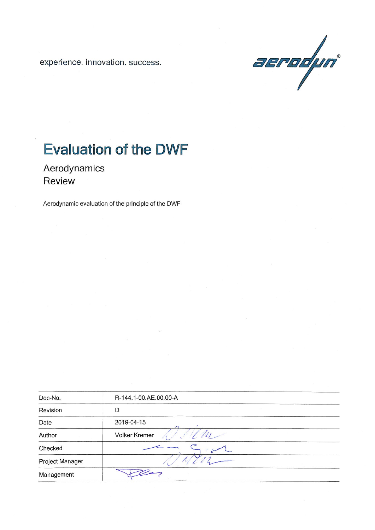experience. innovation. success.



# **Evaluation of the DWF**

Aerodynamics Review

Aerodynamic evaluation of the principle of the DWF

| Doc-No.         | R-144.1-00.AE.00.00-A |
|-----------------|-----------------------|
| Revision        | D                     |
| Date            | 2019-04-15<br>×       |
| Author          | Volker Kremer         |
| Checked         |                       |
| Project Manager |                       |
| Management      |                       |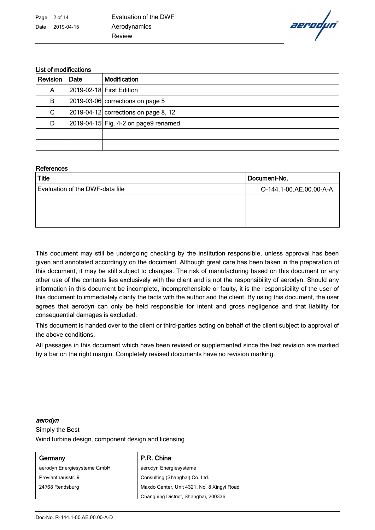aerodµn

### List of modifications

| Revision | Date | <b>Modification</b>                  |  |
|----------|------|--------------------------------------|--|
| A        |      | 2019-02-18 First Edition             |  |
| B        |      | 2019-03-06 corrections on page 5     |  |
| C        |      | 2019-04-12 corrections on page 8, 12 |  |
| D        |      | 2019-04-15 Fig. 4-2 on page9 renamed |  |
|          |      |                                      |  |
|          |      |                                      |  |

#### **References**

| <b>Title</b>                    | Document-No.            |  |
|---------------------------------|-------------------------|--|
| Evaluation of the DWF-data file | O-144.1-00.AE.00.00-A-A |  |
|                                 |                         |  |
|                                 |                         |  |
|                                 |                         |  |

This document may still be undergoing checking by the institution responsible, unless approval has been given and annotated accordingly on the document. Although great care has been taken in the preparation of this document, it may be still subject to changes. The risk of manufacturing based on this document or any other use of the contents lies exclusively with the client and is not the responsibility of aerodyn. Should any information in this document be incomplete, incomprehensible or faulty, it is the responsibility of the user of this document to immediately clarify the facts with the author and the client. By using this document, the user agrees that aerodyn can only be held responsible for intent and gross negligence and that liability for consequential damages is excluded.

This document is handed over to the client or third-parties acting on behalf of the client subject to approval of the above conditions.

All passages in this document which have been revised or supplemented since the last revision are marked by a bar on the right margin. Completely revised documents have no revision marking.

#### aerodyn

Simply the Best Wind turbine design, component design and licensing

aerodyn Energiesysteme GmbH Provianthausstr. 9 24768 Rendsburg

### Germany P.R. China

aerodyn Energiesysteme Consulting (Shanghai) Co. Ltd. Maxdo Center, Unit 4321, No. 8 Xingyi Road Changning District, Shanghai, 200336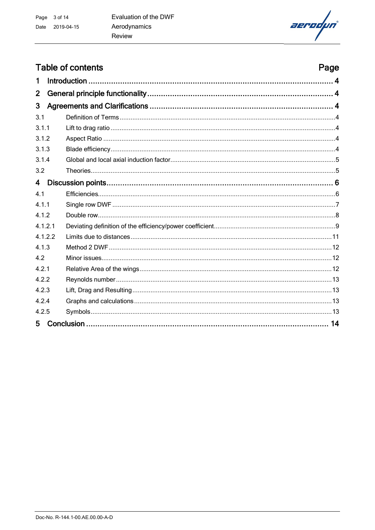aerodµn

# Table of contents

|                         | <b>Table of contents</b><br>Page |  |
|-------------------------|----------------------------------|--|
| 1                       |                                  |  |
| $\overline{2}$          |                                  |  |
| 3                       |                                  |  |
| 3.1                     |                                  |  |
| 3.1.1                   |                                  |  |
| 3.1.2                   |                                  |  |
| 3.1.3                   |                                  |  |
| 3.1.4                   |                                  |  |
| 3.2                     |                                  |  |
| $\overline{\mathbf{4}}$ |                                  |  |
| 41                      |                                  |  |
| 4.1.1                   |                                  |  |
| 4.1.2                   |                                  |  |
| 4.1.2.1                 |                                  |  |
| 4.1.2.2                 |                                  |  |
| 4.1.3                   |                                  |  |
| 4.2                     |                                  |  |
| 4.2.1                   |                                  |  |
| 4.2.2                   |                                  |  |
| 4.2.3                   |                                  |  |
| 4.2.4                   |                                  |  |
| 4.2.5                   |                                  |  |
| 5                       |                                  |  |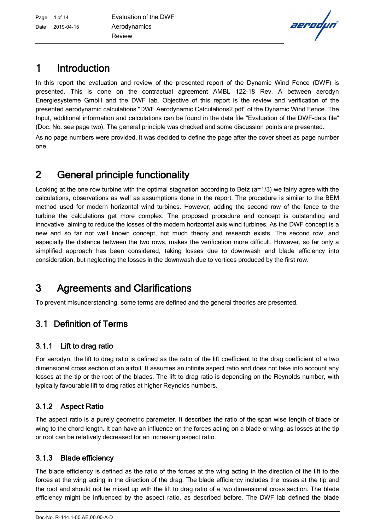

# 1 Introduction

In this report the evaluation and review of the presented report of the Dynamic Wind Fence (DWF) is presented. This is done on the contractual agreement AMBL 122-18 Rev. A between aerodyn Energiesysteme GmbH and the DWF lab. Objective of this report is the review and verification of the presented aerodynamic calculations "DWF Aerodynamic Calculations2.pdf" of the Dynamic Wind Fence. The Input, additional information and calculations can be found in the data file "Evaluation of the DWF-data file" (Doc. No. see page two). The general principle was checked and some discussion points are presented.

As no page numbers were provided, it was decided to define the page after the cover sheet as page number one.

# 2 General principle functionality

Looking at the one row turbine with the optimal stagnation according to Betz (a=1/3) we fairly agree with the calculations, observations as well as assumptions done in the report. The procedure is similar to the BEM method used for modern horizontal wind turbines. However, adding the second row of the fence to the turbine the calculations get more complex. The proposed procedure and concept is outstanding and innovative, aiming to reduce the losses of the modern horizontal axis wind turbines. As the DWF concept is a new and so far not well known concept, not much theory and research exists. The second row, and especially the distance between the two rows, makes the verification more difficult. However, so far only a simplified approach has been considered, taking losses due to downwash and blade efficiency into consideration, but neglecting the losses in the downwash due to vortices produced by the first row.

# 3 Agreements and Clarifications

To prevent misunderstanding, some terms are defined and the general theories are presented.

# 3.1 Definition of Terms

# 3.1.1 Lift to drag ratio

For aerodyn, the lift to drag ratio is defined as the ratio of the lift coefficient to the drag coefficient of a two dimensional cross section of an airfoil. It assumes an infinite aspect ratio and does not take into account any losses at the tip or the root of the blades. The lift to drag ratio is depending on the Reynolds number, with typically favourable lift to drag ratios at higher Reynolds numbers.

# 3.1.2 Aspect Ratio

The aspect ratio is a purely geometric parameter. It describes the ratio of the span wise length of blade or wing to the chord length. It can have an influence on the forces acting on a blade or wing, as losses at the tip or root can be relatively decreased for an increasing aspect ratio.

# 3.1.3 Blade efficiency

The blade efficiency is defined as the ratio of the forces at the wing acting in the direction of the lift to the forces at the wing acting in the direction of the drag. The blade efficiency includes the losses at the tip and the root and should not be mixed up with the lift to drag ratio of a two dimensional cross section. The blade efficiency might be influenced by the aspect ratio, as described before. The DWF lab defined the blade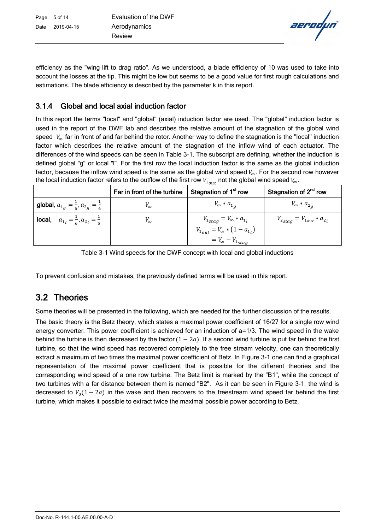aerodµn

efficiency as the "wing lift to drag ratio". As we understood, a blade efficiency of 10 was used to take into account the losses at the tip. This might be low but seems to be a good value for first rough calculations and estimations. The blade efficiency is described by the parameter k in this report.

### 3.1.4 Global and local axial induction factor

In this report the terms "local" and "global" (axial) induction factor are used. The "global" induction factor is used in the report of the DWF lab and describes the relative amount of the stagnation of the global wind speed  $V_{\infty}$  far in front of and far behind the rotor. Another way to define the stagnation is the "local" induction factor which describes the relative amount of the stagnation of the inflow wind of each actuator. The differences of the wind speeds can be seen in Table 3-1. The subscript are defining, whether the induction is defined global "g" or local "l". For the first row the local induction factor is the same as the global induction factor, because the inflow wind speed is the same as the global wind speed  $V_{\infty}$ . For the second row however the local induction factor refers to the outflow of the first row  $V_{1, \text{out}}$  not the global wind speed  $V_{\infty}$ .

|                                                                 | Far in front of the turbine | Stagnation of 1 <sup>st</sup> row          | Stagnation of 2 <sup>nd</sup> row      |
|-----------------------------------------------------------------|-----------------------------|--------------------------------------------|----------------------------------------|
| <b>global</b> , $a_{1g} = \frac{1}{6}$ , $a_{2g} = \frac{1}{6}$ | $V_{\infty}$                | $V_{\infty} * a_{1a}$                      | $V_{\infty} * a_{2a}$                  |
| <b>local,</b> $a_{1l} = \frac{1}{6}$ , $a_{2l} = \frac{1}{5}$   | $V_{\infty}$                | $V_{1_{stag}} = V_{\infty} * a_{1_l}$      | $V_{2_{stag}} = V_{1_{out}} * a_{2_l}$ |
|                                                                 |                             | $V_{1_{out}} = V_{\infty} * (1 - a_{1_l})$ |                                        |
|                                                                 |                             | $= V_{\infty} - V_{1_{stag}}$              |                                        |

Table 3-1 Wind speeds for the DWF concept with local and global inductions

To prevent confusion and mistakes, the previously defined terms will be used in this report.

# 3.2 Theories

Some theories will be presented in the following, which are needed for the further discussion of the results.

The basic theory is the Betz theory, which states a maximal power coefficient of 16/27 for a single row wind energy converter. This power coefficient is achieved for an induction of a=1/3. The wind speed in the wake behind the turbine is then decreased by the factor  $(1 - 2a)$ . If a second wind turbine is put far behind the first turbine, so that the wind speed has recovered completely to the free stream velocity, one can theoretically extract a maximum of two times the maximal power coefficient of Betz. In Figure 3-1 one can find a graphical representation of the maximal power coefficient that is possible for the different theories and the corresponding wind speed of a one row turbine. The Betz limit is marked by the "B1", while the concept of two turbines with a far distance between them is named "B2". As it can be seen in Figure 3-1, the wind is decreased to  $V_0(1-2a)$  in the wake and then recovers to the freestream wind speed far behind the first turbine, which makes it possible to extract twice the maximal possible power according to Betz.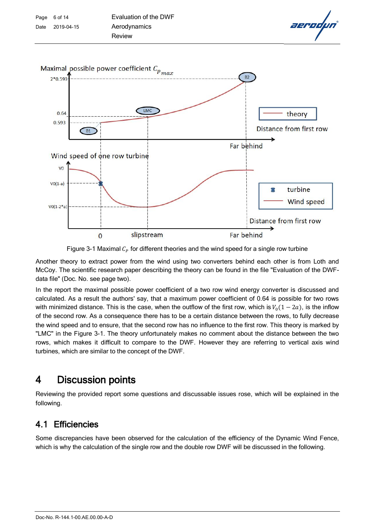



Another theory to extract power from the wind using two converters behind each other is from Loth and McCoy. The scientific research paper describing the theory can be found in the file "Evaluation of the DWFdata file" (Doc. No. see page two).

In the report the maximal possible power coefficient of a two row wind energy converter is discussed and calculated. As a result the authors' say, that a maximum power coefficient of 0.64 is possible for two rows with minimized distance. This is the case, when the outflow of the first row, which is  $V_0(1-2a)$ , is the inflow of the second row. As a consequence there has to be a certain distance between the rows, to fully decrease the wind speed and to ensure, that the second row has no influence to the first row. This theory is marked by "LMC" in the Figure 3-1. The theory unfortunately makes no comment about the distance between the two rows, which makes it difficult to compare to the DWF. However they are referring to vertical axis wind turbines, which are similar to the concept of the DWF.

# 4 Discussion points

Reviewing the provided report some questions and discussable issues rose, which will be explained in the following.

# 4.1 Efficiencies

Some discrepancies have been observed for the calculation of the efficiency of the Dynamic Wind Fence, which is why the calculation of the single row and the double row DWF will be discussed in the following.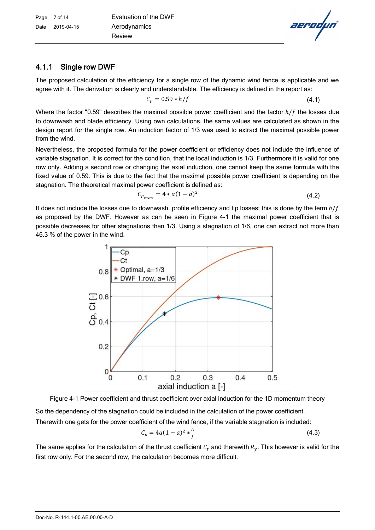# 4.1.1 Single row DWF

The proposed calculation of the efficiency for a single row of the dynamic wind fence is applicable and we agree with it. The derivation is clearly and understandable. The efficiency is defined in the report as:

$$
C_p = 0.59 * h/f \tag{4.1}
$$

Where the factor "0.59" describes the maximal possible power coefficient and the factor  $h/f$  the losses due to downwash and blade efficiency. Using own calculations, the same values are calculated as shown in the design report for the single row. An induction factor of 1/3 was used to extract the maximal possible power from the wind.

Nevertheless, the proposed formula for the power coefficient or efficiency does not include the influence of variable stagnation. It is correct for the condition, that the local induction is 1/3. Furthermore it is valid for one row only. Adding a second row or changing the axial induction, one cannot keep the same formula with the fixed value of 0.59. This is due to the fact that the maximal possible power coefficient is depending on the stagnation. The theoretical maximal power coefficient is defined as:

$$
C_{p_{max}} = 4 * a(1 - a)^2
$$
 (4.2)

It does not include the losses due to downwash, profile efficiency and tip losses; this is done by the term  $h/f$ as proposed by the DWF. However as can be seen in Figure 4-1 the maximal power coefficient that is possible decreases for other stagnations than 1/3. Using a stagnation of 1/6, one can extract not more than 46.3 % of the power in the wind.



Figure 4-1 Power coefficient and thrust coefficient over axial induction for the 1D momentum theory So the dependency of the stagnation could be included in the calculation of the power coefficient. Therewith one gets for the power coefficient of the wind fence, if the variable stagnation is included:

$$
C_p = 4a(1-a)^2 * \frac{h}{f}
$$
 (4.3)

The same applies for the calculation of the thrust coefficient  $\mathcal{C}_t$  and therewith  $R_y.$  This however is valid for the first row only. For the second row, the calculation becomes more difficult.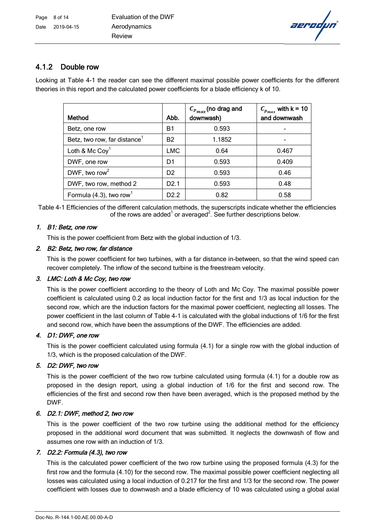aerodµn

# 4.1.2 Double row

Looking at Table 4-1 the reader can see the different maximal possible power coefficients for the different theories in this report and the calculated power coefficients for a blade efficiency k of 10.

| Method                                   | Abb.             | $C_{P_{max}}$ (no drag and<br>downwash) | $C_{p_{max}}$ with $k = 10$<br>and downwash |
|------------------------------------------|------------------|-----------------------------------------|---------------------------------------------|
| Betz, one row                            | Β1               | 0.593                                   |                                             |
| Betz, two row, far distance <sup>1</sup> | <b>B2</b>        | 1.1852                                  |                                             |
| Loth & Mc Coy <sup>1</sup>               | <b>LMC</b>       | 0.64                                    | 0.467                                       |
| DWF, one row                             | D <sub>1</sub>   | 0.593                                   | 0.409                                       |
| DWF, two row <sup>2</sup>                | D <sub>2</sub>   | 0.593                                   | 0.46                                        |
| DWF, two row, method 2                   | D <sub>2.1</sub> | 0.593                                   | 0.48                                        |
| Formula $(4.3)$ , two row <sup>1</sup>   | D <sub>2.2</sub> | 0.82                                    | 0.58                                        |

Table 4-1 Efficiencies of the different calculation methods, the superscripts indicate whether the efficiencies of the rows are added<sup>1</sup> or averaged<sup>2</sup>. See further descriptions below.

#### 1. B1: Betz, one row

This is the power coefficient from Betz with the global induction of 1/3.

#### 2. B2: Betz, two row, far distance

This is the power coefficient for two turbines, with a far distance in-between, so that the wind speed can recover completely. The inflow of the second turbine is the freestream velocity.

#### 3. LMC: Loth & Mc Coy, two row

This is the power coefficient according to the theory of Loth and Mc Coy. The maximal possible power coefficient is calculated using 0.2 as local induction factor for the first and 1/3 as local induction for the second row, which are the induction factors for the maximal power coefficient, neglecting all losses. The power coefficient in the last column of Table 4-1 is calculated with the global inductions of 1/6 for the first and second row, which have been the assumptions of the DWF. The efficiencies are added.

#### 4. D1: DWF, one row

This is the power coefficient calculated using formula (4.1) for a single row with the global induction of 1/3, which is the proposed calculation of the DWF.

#### 5. D2: DWF, two row

This is the power coefficient of the two row turbine calculated using formula (4.1) for a double row as proposed in the design report, using a global induction of 1/6 for the first and second row. The efficiencies of the first and second row then have been averaged, which is the proposed method by the DWF.

#### 6. D2.1: DWF, method 2, two row

This is the power coefficient of the two row turbine using the additional method for the efficiency proposed in the additional word document that was submitted. It neglects the downwash of flow and assumes one row with an induction of 1/3.

#### 7. D2.2: Formula (4.3), two row

This is the calculated power coefficient of the two row turbine using the proposed formula (4.3) for the first row and the formula (4.10) for the second row. The maximal possible power coefficient neglecting all losses was calculated using a local induction of 0.217 for the first and 1/3 for the second row. The power coefficient with losses due to downwash and a blade efficiency of 10 was calculated using a global axial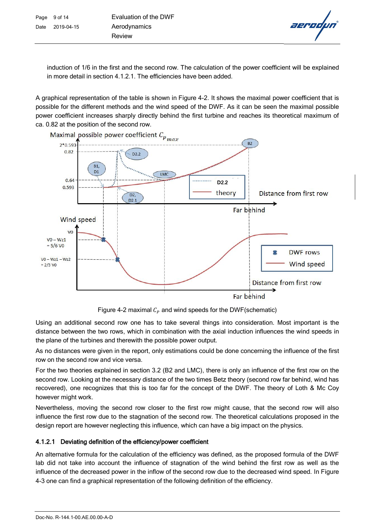aerodu

induction of 1/6 in the first and the second row. The calculation of the power coefficient will be explained in more detail in section 4.1.2.1. The efficiencies have been added.

A graphical representation of the table is shown in Figure 4-2. It shows the maximal power coefficient that is possible for the different methods and the wind speed of the DWF. As it can be seen the maximal possible power coefficient increases sharply directly behind the first turbine and reaches its theoretical maximum of ca. 0.82 at the position of the second row.



Figure 4-2 maximal  $C_p$  and wind speeds for the DWF(schematic)

Using an additional second row one has to take several things into consideration. Most important is the distance between the two rows, which in combination with the axial induction influences the wind speeds in the plane of the turbines and therewith the possible power output.

As no distances were given in the report, only estimations could be done concerning the influence of the first row on the second row and vice versa.

For the two theories explained in section 3.2 (B2 and LMC), there is only an influence of the first row on the second row. Looking at the necessary distance of the two times Betz theory (second row far behind, wind has recovered), one recognizes that this is too far for the concept of the DWF. The theory of Loth & Mc Coy however might work.

Nevertheless, moving the second row closer to the first row might cause, that the second row will also influence the first row due to the stagnation of the second row. The theoretical calculations proposed in the design report are however neglecting this influence, which can have a big impact on the physics.

# 4.1.2.1 Deviating definition of the efficiency/power coefficient

An alternative formula for the calculation of the efficiency was defined, as the proposed formula of the DWF lab did not take into account the influence of stagnation of the wind behind the first row as well as the influence of the decreased power in the inflow of the second row due to the decreased wind speed. In Figure 4-3 one can find a graphical representation of the following definition of the efficiency.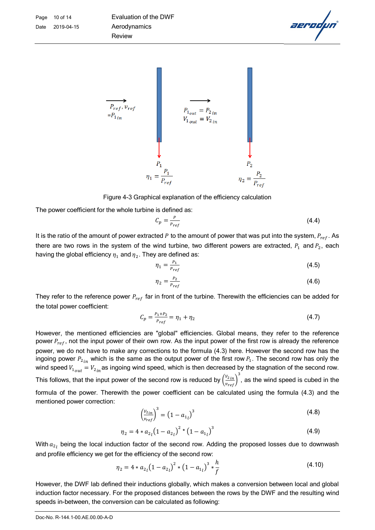



Figure 4-3 Graphical explanation of the efficiency calculation

The power coefficient for the whole turbine is defined as:

$$
C_p = \frac{P}{P_{ref}} \tag{4.4}
$$

It is the ratio of the amount of power extracted P to the amount of power that was put into the system,  $P_{ref}$ . As there are two rows in the system of the wind turbine, two different powers are extracted,  $P_1$  and  $P_2$ , each having the global efficiency  $\eta_1$  and  $\eta_2.$  They are defined as:

$$
\eta_1 = \frac{P_1}{P_{ref}}\tag{4.5}
$$

$$
\eta_2 = \frac{P_2}{P_{ref}}\tag{4.6}
$$

They refer to the reference power  $P_{ref}$  far in front of the turbine. Therewith the efficiencies can be added for the total power coefficient:

$$
C_p = \frac{P_1 + P_2}{P_{ref}} = \eta_1 + \eta_2 \tag{4.7}
$$

However, the mentioned efficiencies are "global" efficiencies. Global means, they refer to the reference power  $P_{ref}$ , not the input power of their own row. As the input power of the first row is already the reference power, we do not have to make any corrections to the formula (4.3) here. However the second row has the ingoing power  $P_{2in}$  which is the same as the output power of the first row  $P_1$ . The second row has only the wind speed  $V_{1_{out}} = V_{2_{in}}$  as ingoing wind speed, which is then decreased by the stagnation of the second row. This follows, that the input power of the second row is reduced by  $\left(\frac{v_{2\,in}}{v_{ref}}\right)$  $\frac{3}{4}$  , as the wind speed is cubed in the formula of the power. Therewith the power coefficient can be calculated using the formula (4.3) and the mentioned power correction:

$$
\left(\frac{v_{2in}}{v_{ref}}\right)^3 = \left(1 - a_{1l}\right)^3\tag{4.8}
$$

$$
\eta_2 = 4 * a_{2l} (1 - a_{2l})^2 * (1 - a_{1l})^3
$$
\n(4.9)

With  $a_{2l}$  being the local induction factor of the second row. Adding the proposed losses due to downwash and profile efficiency we get for the efficiency of the second row:

$$
\eta_2 = 4 * a_{2l} (1 - a_{2l})^2 * (1 - a_{1l})^3 * \frac{h}{f}
$$
\n(4.10)

However, the DWF lab defined their inductions globally, which makes a conversion between local and global induction factor necessary. For the proposed distances between the rows by the DWF and the resulting wind speeds in-between, the conversion can be calculated as following: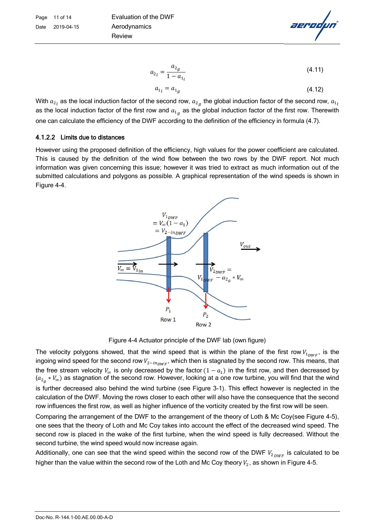$$
a_{2_l} = \frac{a_{2g}}{1 - a_{1_l}}\tag{4.11}
$$

$$
a_{1l} = a_{1g} \tag{4.12}
$$

With  $a_{2_l}$  as the local induction factor of the second row,  $a_{2_g}$  the global induction factor of the second row,  $a_{1_l}$ as the local induction factor of the first row and  $a_{1g}^{}$  as the global induction factor of the first row. Therewith one can calculate the efficiency of the DWF according to the definition of the efficiency in formula (4.7).

#### 4.1.2.2 Limits due to distances

However using the proposed definition of the efficiency, high values for the power coefficient are calculated. This is caused by the definition of the wind flow between the two rows by the DWF report. Not much information was given concerning this issue; however it was tried to extract as much information out of the submitted calculations and polygons as possible. A graphical representation of the wind speeds is shown in Figure 4-4.



Figure 4-4 Actuator principle of the DWF lab (own figure)

The velocity polygons showed, that the wind speed that is within the plane of the first row  $V_{1_{\text{DWF}}}$ , is the ingoing wind speed for the second row  $V_{2-in_{NWR}}$ , which then is stagnated by the second row. This means, that the free stream velocity  $V_{\infty}$  is only decreased by the factor  $(1 - a_1)$  in the first row, and then decreased by  $(a_{2_g}*V_\infty)$  as stagnation of the second row. However, looking at a one row turbine, you will find that the wind is further decreased also behind the wind turbine (see Figure 3-1). This effect however is neglected in the calculation of the DWF. Moving the rows closer to each other will also have the consequence that the second row influences the first row, as well as higher influence of the vorticity created by the first row will be seen.

Comparing the arrangement of the DWF to the arrangement of the theory of Loth & Mc Coy(see Figure 4-5), one sees that the theory of Loth and Mc Coy takes into account the effect of the decreased wind speed. The second row is placed in the wake of the first turbine, when the wind speed is fully decreased. Without the second turbine, the wind speed would now increase again.

Additionally, one can see that the wind speed within the second row of the DWF  $V_{2_{DWF}}$  is calculated to be higher than the value within the second row of the Loth and Mc Coy theory  $V_2$ , as shown in Figure 4-5.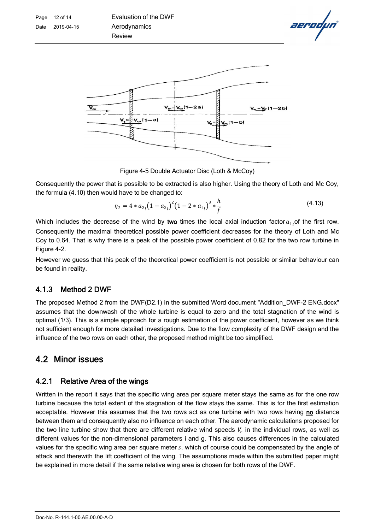

Figure 4-5 Double Actuator Disc (Loth & McCoy)

Consequently the power that is possible to be extracted is also higher. Using the theory of Loth and Mc Coy, the formula (4.10) then would have to be changed to:

$$
\eta_2 = 4 * a_{2l} (1 - a_{2l})^2 (1 - 2 * a_{1l})^3 * \frac{h}{f}
$$
\n(4.13)

Which includes the decrease of the wind by two times the local axial induction factor  $a_{1}$  of the first row. Consequently the maximal theoretical possible power coefficient decreases for the theory of Loth and Mc Coy to 0.64. That is why there is a peak of the possible power coefficient of 0.82 for the two row turbine in Figure 4-2.

However we guess that this peak of the theoretical power coefficient is not possible or similar behaviour can be found in reality.

### 4.1.3 Method 2 DWF

The proposed Method 2 from the DWF(D2.1) in the submitted Word document "Addition\_DWF-2 ENG.docx" assumes that the downwash of the whole turbine is equal to zero and the total stagnation of the wind is optimal (1/3). This is a simple approach for a rough estimation of the power coefficient, however as we think not sufficient enough for more detailed investigations. Due to the flow complexity of the DWF design and the influence of the two rows on each other, the proposed method might be too simplified.

# 4.2 Minor issues

### 4.2.1 Relative Area of the wings

Written in the report it says that the specific wing area per square meter stays the same as for the one row turbine because the total extent of the stagnation of the flow stays the same. This is for the first estimation acceptable. However this assumes that the two rows act as one turbine with two rows having no distance between them and consequently also no influence on each other. The aerodynamic calculations proposed for the two line turbine show that there are different relative wind speeds  $V_r$  in the individual rows, as well as different values for the non-dimensional parameters i and g. This also causes differences in the calculated values for the specific wing area per square meter  $s$ , which of course could be compensated by the angle of attack and therewith the lift coefficient of the wing. The assumptions made within the submitted paper might be explained in more detail if the same relative wing area is chosen for both rows of the DWF.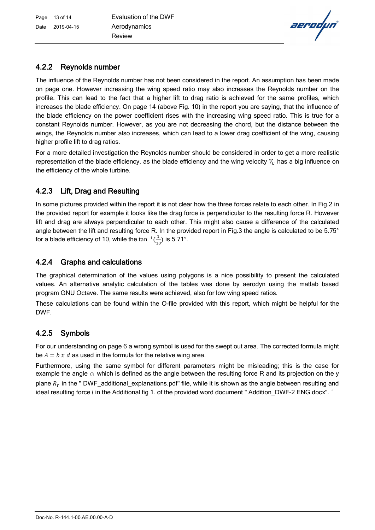

# 4.2.2 Reynolds number

The influence of the Reynolds number has not been considered in the report. An assumption has been made on page one. However increasing the wing speed ratio may also increases the Reynolds number on the profile. This can lead to the fact that a higher lift to drag ratio is achieved for the same profiles, which increases the blade efficiency. On page 14 (above Fig. 10) in the report you are saying, that the influence of the blade efficiency on the power coefficient rises with the increasing wing speed ratio. This is true for a constant Reynolds number. However, as you are not decreasing the chord, but the distance between the wings, the Reynolds number also increases, which can lead to a lower drag coefficient of the wing, causing higher profile lift to drag ratios.

For a more detailed investigation the Reynolds number should be considered in order to get a more realistic representation of the blade efficiency, as the blade efficiency and the wing velocity  $V_c$  has a big influence on the efficiency of the whole turbine.

# 4.2.3 Lift, Drag and Resulting

In some pictures provided within the report it is not clear how the three forces relate to each other. In Fig.2 in the provided report for example it looks like the drag force is perpendicular to the resulting force R. However lift and drag are always perpendicular to each other. This might also cause a difference of the calculated angle between the lift and resulting force R. In the provided report in Fig.3 the angle is calculated to be 5.75° for a blade efficiency of 10, while the  $tan^{-1}(\frac{1}{10})$  $\frac{1}{10}$ ) is 5.71°.

# 4.2.4 Graphs and calculations

The graphical determination of the values using polygons is a nice possibility to present the calculated values. An alternative analytic calculation of the tables was done by aerodyn using the matlab based program GNU Octave. The same results were achieved, also for low wing speed ratios.

These calculations can be found within the O-file provided with this report, which might be helpful for the DWF.

# 4.2.5 Symbols

For our understanding on page 6 a wrong symbol is used for the swept out area. The corrected formula might be  $A = b \times d$  as used in the formula for the relative wing area.

Furthermore, using the same symbol for different parameters might be misleading; this is the case for example the angle  $\alpha$  which is defined as the angle between the resulting force R and its projection on the y plane  $R<sub>Y</sub>$  in the " DWF\_additional\_explanations.pdf" file, while it is shown as the angle between resulting and ideal resulting force i in the Additional fig 1. of the provided word document " Addition DWF-2 ENG.docx". '